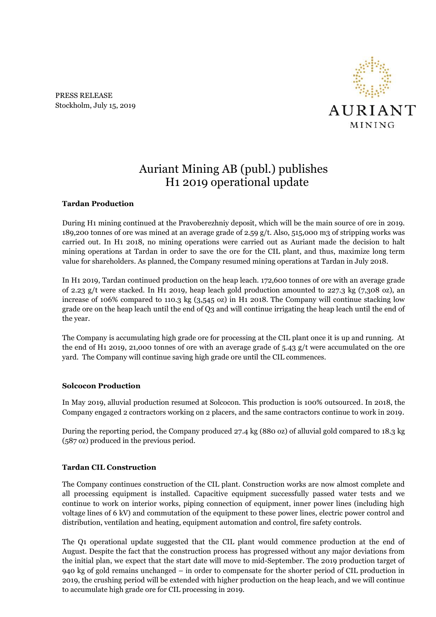PRESS RELEASE Stockholm, July 15, 2019



# Auriant Mining AB (publ.) publishes H1 2019 operational update

### **Tardan Production**

During H1 mining continued at the Pravoberezhniy deposit, which will be the main source of ore in 2019. 189,200 tonnes of ore was mined at an average grade of 2.59 g/t. Also, 515,000 m3 of stripping works was carried out. In H1 2018, no mining operations were carried out as Auriant made the decision to halt mining operations at Tardan in order to save the ore for the CIL plant, and thus, maximize long term value for shareholders. As planned, the Company resumed mining operations at Tardan in July 2018.

In H1 2019, Tardan continued production on the heap leach. 172,600 tonnes of ore with an average grade of 2.23 g/t were stacked. In H1 2019, heap leach gold production amounted to 227.3 kg (7,308 oz), an increase of 106% compared to 110.3 kg (3,545 oz) in H1 2018. The Company will continue stacking low grade ore on the heap leach until the end of Q3 and will continue irrigating the heap leach until the end of the year.

The Company is accumulating high grade ore for processing at the CIL plant once it is up and running. At the end of H1 2019, 21,000 tonnes of ore with an average grade of 5.43 g/t were accumulated on the ore yard. The Company will continue saving high grade ore until the CIL commences.

### **Solcocon Production**

In May 2019, alluvial production resumed at Solcocon. This production is 100% outsourced. In 2018, the Company engaged 2 contractors working on 2 placers, and the same contractors continue to work in 2019.

During the reporting period, the Company produced 27.4 kg (880 oz) of alluvial gold compared to 18.3 kg (587 oz) produced in the previous period.

### **Tardan CIL Construction**

The Company continues construction of the CIL plant. Construction works are now almost complete and all processing equipment is installed. Capacitive equipment successfully passed water tests and we continue to work on interior works, piping connection of equipment, inner power lines (including high voltage lines of 6 kV) and commutation of the equipment to these power lines, electric power control and distribution, ventilation and heating, equipment automation and control, fire safety controls.

The Q1 operational update suggested that the CIL plant would commence production at the end of August. Despite the fact that the construction process has progressed without any major deviations from the initial plan, we expect that the start date will move to mid-September. The 2019 production target of 940 kg of gold remains unchanged – in order to compensate for the shorter period of CIL production in 2019, the crushing period will be extended with higher production on the heap leach, and we will continue to accumulate high grade ore for CIL processing in 2019.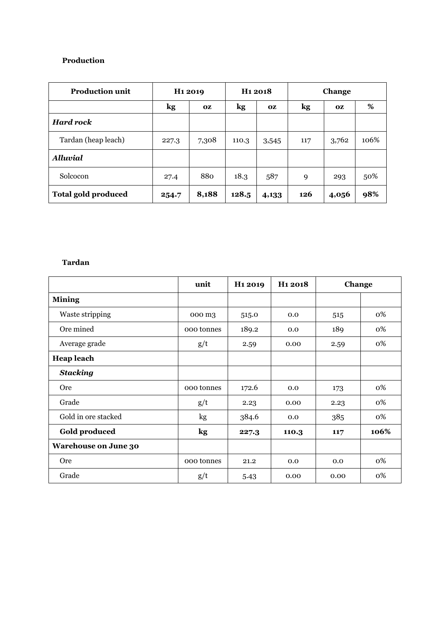## **Production**

| <b>Production unit</b>     | H <sub>1</sub> 2019 |           | H <sub>1</sub> 2018 |           | <b>Change</b> |           |      |
|----------------------------|---------------------|-----------|---------------------|-----------|---------------|-----------|------|
|                            | kg                  | <b>OZ</b> | kg                  | <b>OZ</b> | kg            | <b>OZ</b> | %    |
| <b>Hard rock</b>           |                     |           |                     |           |               |           |      |
| Tardan (heap leach)        | 227.3               | 7,308     | 110.3               | 3,545     | 117           | 3,762     | 106% |
| <b>Alluvial</b>            |                     |           |                     |           |               |           |      |
| Solcocon                   | 27.4                | 880       | 18.3                | 587       | 9             | 293       | 50%  |
| <b>Total gold produced</b> | 254.7               | 8,188     | 128.5               | 4,133     | 126           | 4,056     | 98%  |

## **Tardan**

|                             | unit       | H <sub>1</sub> 2019 | H <sub>1</sub> 2018 | Change |      |
|-----------------------------|------------|---------------------|---------------------|--------|------|
| <b>Mining</b>               |            |                     |                     |        |      |
| Waste stripping             | 000 m3     | 515.0               | 0.0                 | 515    | 0%   |
| Ore mined                   | 000 tonnes | 189.2               | 0.0                 | 189    | 0%   |
| Average grade               | g/t        | 2.59                | 0.00                | 2.59   | 0%   |
| <b>Heap leach</b>           |            |                     |                     |        |      |
| <b>Stacking</b>             |            |                     |                     |        |      |
| <b>Ore</b>                  | 000 tonnes | 172.6               | 0.0                 | 173    | 0%   |
| Grade                       | g/t        | 2.23                | 0.00                | 2.23   | 0%   |
| Gold in ore stacked         | kg         | 384.6               | 0.0                 | 385    | 0%   |
| <b>Gold produced</b>        | kg         | 227.3               | 110.3               | 117    | 106% |
| <b>Warehouse on June 30</b> |            |                     |                     |        |      |
| <b>Ore</b>                  | 000 tonnes | 21.2                | 0.0                 | 0.0    | 0%   |
| Grade                       | g/t        | 5.43                | 0.00                | 0.00   | 0%   |